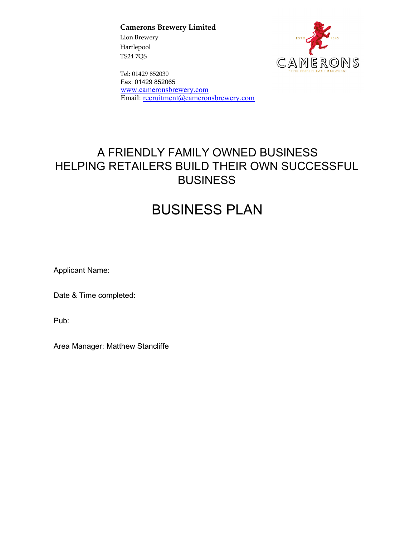**Camerons Brewery Limited** 

Lion Brewery Hartlepool TS24 7QS



Tel: 01429 852030 Fax: 01429 852065 www.cameronsbrewery.com Email: recruitment@cameronsbrewery.com

# A FRIENDLY FAMILY OWNED BUSINESS HELPING RETAILERS BUILD THEIR OWN SUCCESSFUL BUSINESS

# BUSINESS PLAN

Applicant Name:

Date & Time completed:

Pub:

Area Manager: Matthew Stancliffe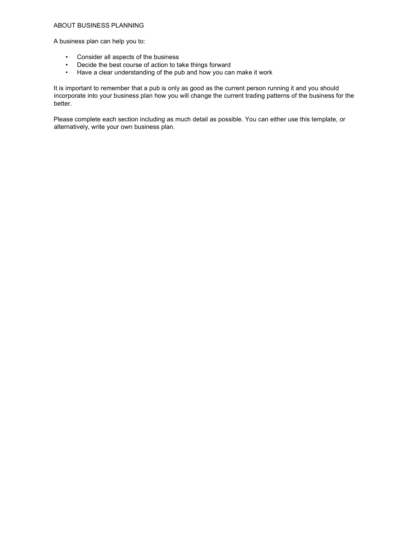### ABOUT BUSINESS PLANNING

A business plan can help you to:

- Consider all aspects of the business
- Decide the best course of action to take things forward
- Have a clear understanding of the pub and how you can make it work

It is important to remember that a pub is only as good as the current person running it and you should incorporate into your business plan how you will change the current trading patterns of the business for the better.

Please complete each section including as much detail as possible. You can either use this template, or alternatively, write your own business plan.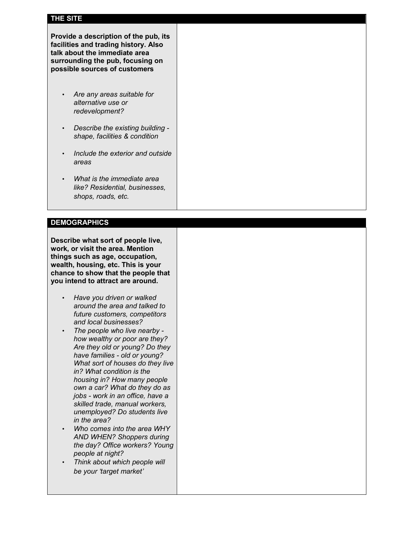## **THE SITE**

**Provide a description of the pub, its facilities and trading history. Also talk about the immediate area surrounding the pub, focusing on possible sources of customers** 

- *Are any areas suitable for alternative use or redevelopment?*
- *Describe the existing building shape, facilities & condition*
- *Include the exterior and outside areas*
- *What is the immediate area like? Residential, businesses, shops, roads, etc.*

### **DEMOGRAPHICS**

**Describe what sort of people live, work, or visit the area. Mention things such as age, occupation, wealth, housing, etc. This is your chance to show that the people that you intend to attract are around.** 

- *Have you driven or walked around the area and talked to future customers, competitors and local businesses?*
- *The people who live nearby how wealthy or poor are they? Are they old or young? Do they have families - old or young? What sort of houses do they live in? What condition is the housing in? How many people own a car? What do they do as jobs - work in an office, have a skilled trade, manual workers, unemployed? Do students live in the area?*
- *Who comes into the area WHY AND WHEN? Shoppers during the day? Office workers? Young people at night?*
- *Think about which people will be your 'target market'*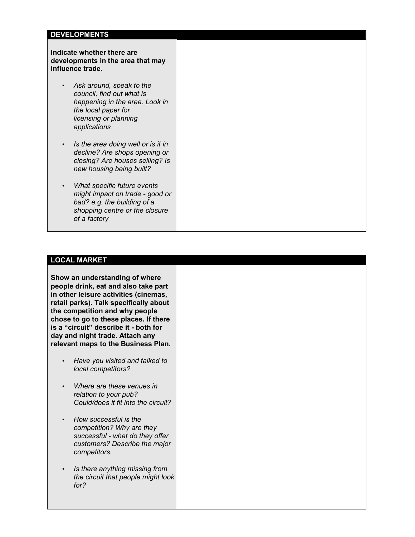### **DEVELOPMENTS**

### **Indicate whether there are developments in the area that may influence trade.**

- *Ask around, speak to the council, find out what is happening in the area. Look in the local paper for licensing or planning applications*
- *Is the area doing well or is it in decline? Are shops opening or closing? Are houses selling? Is new housing being built?*
- *What specific future events might impact on trade - good or bad? e.g. the building of a shopping centre or the closure of a factory*

### **LOCAL MARKET**

**Show an understanding of where people drink, eat and also take part in other leisure activities (cinemas, retail parks). Talk specifically about the competition and why people chose to go to these places. If there is a "circuit" describe it - both for day and night trade. Attach any relevant maps to the Business Plan.** 

- *Have you visited and talked to local competitors?*
- *Where are these venues in relation to your pub? Could/does it fit into the circuit?*
- *How successful is the competition? Why are they successful - what do they offer customers? Describe the major competitors.*
- *Is there anything missing from the circuit that people might look for?*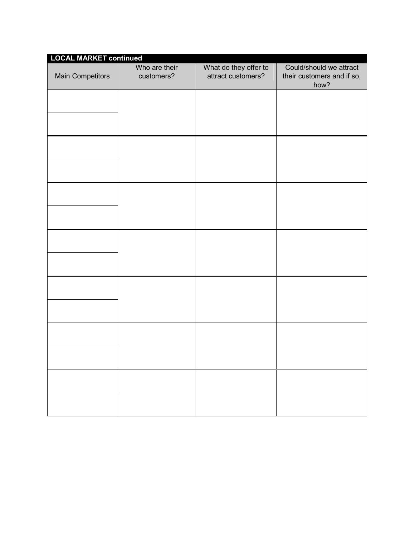| <b>LOCAL MARKET continued</b> |                             |                                             |                                                               |
|-------------------------------|-----------------------------|---------------------------------------------|---------------------------------------------------------------|
| Main Competitors              | Who are their<br>customers? | What do they offer to<br>attract customers? | Could/should we attract<br>their customers and if so,<br>how? |
|                               |                             |                                             |                                                               |
|                               |                             |                                             |                                                               |
|                               |                             |                                             |                                                               |
|                               |                             |                                             |                                                               |
|                               |                             |                                             |                                                               |
|                               |                             |                                             |                                                               |
|                               |                             |                                             |                                                               |
|                               |                             |                                             |                                                               |
|                               |                             |                                             |                                                               |
|                               |                             |                                             |                                                               |
|                               |                             |                                             |                                                               |
|                               |                             |                                             |                                                               |
|                               |                             |                                             |                                                               |
|                               |                             |                                             |                                                               |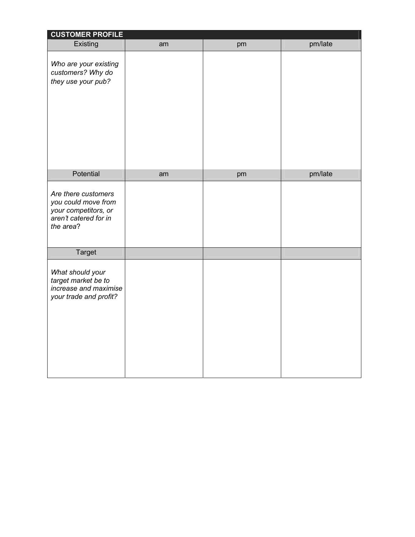| <b>CUSTOMER PROFILE</b>                                                                                  |    |    |         |
|----------------------------------------------------------------------------------------------------------|----|----|---------|
| Existing                                                                                                 | am | pm | pm/late |
| Who are your existing<br>customers? Why do<br>they use your pub?                                         |    |    |         |
| Potential                                                                                                | am | pm | pm/late |
| Are there customers<br>you could move from<br>your competitors, or<br>aren't catered for in<br>the area? |    |    |         |
| Target                                                                                                   |    |    |         |
| What should your<br>target market be to<br>increase and maximise<br>your trade and profit?               |    |    |         |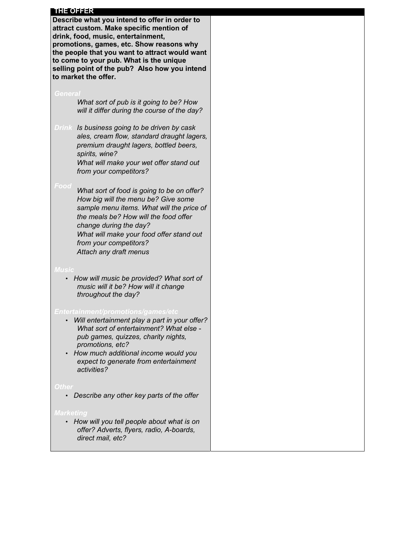### **THE OFFER**

**Describe what you intend to offer in order to attract custom. Make specific mention of drink, food, music, entertainment, promotions, games, etc. Show reasons why the people that you want to attract would want to come to your pub. What is the unique selling point of the pub? Also how you intend to market the offer.** 

 *What sort of pub is it going to be? How will it differ during the course of the day?* 

*Is business going to be driven by cask ales, cream flow, standard draught lagers, premium draught lagers, bottled beers, spirits, wine?* 

> *What will make your wet offer stand out from your competitors?*

 *What sort of food is going to be on offer? How big will the menu be? Give some sample menu items. What will the price of the meals be? How will the food offer change during the day? What will make your food offer stand out from your competitors? Attach any draft menus* 

*Music* 

• *How will music be provided? What sort of music will it be? How will it change throughout the day?* 

- *Will entertainment play a part in your offer? What sort of entertainment? What else pub games, quizzes, charity nights, promotions, etc?*
- *How much additional income would you expect to generate from entertainment activities?*

### Othe

• *Describe any other key parts of the offer* 

• *How will you tell people about what is on offer? Adverts, flyers, radio, A-boards, direct mail, etc?*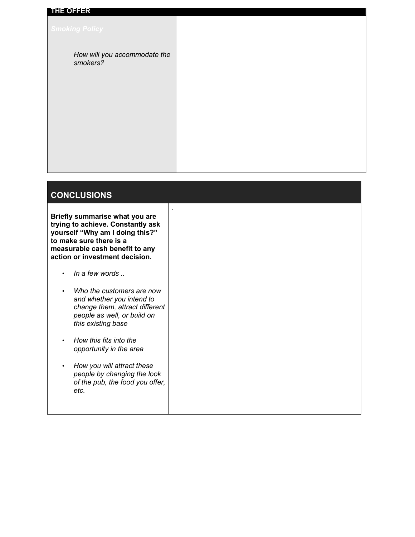| <b>THE OFFER</b>                         |  |
|------------------------------------------|--|
| <b>Smoking Policy</b>                    |  |
| How will you accommodate the<br>smokers? |  |
|                                          |  |
|                                          |  |
|                                          |  |
|                                          |  |

.

# **CONCLUSIONS**

**Briefly summarise what you are trying to achieve. Constantly ask yourself "Why am I doing this?" to make sure there is a measurable cash benefit to any action or investment decision.** 

- *In a few words ..*
- *Who the customers are now and whether you intend to change them, attract different people as well, or build on this existing base*
- *How this fits into the opportunity in the area*
- *How you will attract these people by changing the look of the pub, the food you offer, etc.*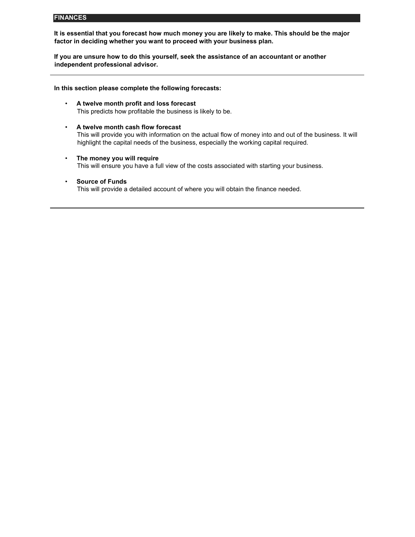### **FINANCES**

**It is essential that you forecast how much money you are likely to make. This should be the major factor in deciding whether you want to proceed with your business plan.** 

**If you are unsure how to do this yourself, seek the assistance of an accountant or another independent professional advisor.**

**In this section please complete the following forecasts:** 

- **A twelve month profit and loss forecast**  This predicts how profitable the business is likely to be.
- **A twelve month cash flow forecast**  This will provide you with information on the actual flow of money into and out of the business. It will highlight the capital needs of the business, especially the working capital required.
- **The money you will require** This will ensure you have a full view of the costs associated with starting your business.
- **Source of Funds**

This will provide a detailed account of where you will obtain the finance needed.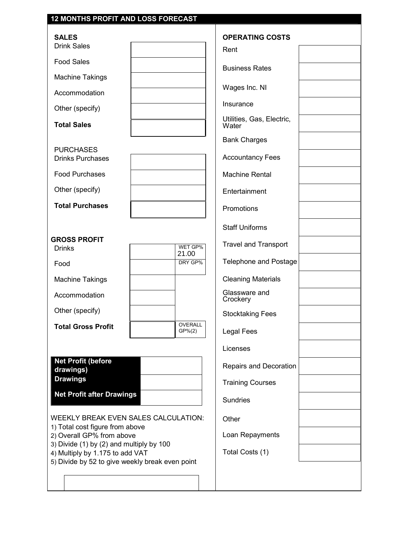| 12 MONTHS PROFIT AND LOSS FORECAST                                                                                             |                           |                                    |
|--------------------------------------------------------------------------------------------------------------------------------|---------------------------|------------------------------------|
| <b>SALES</b>                                                                                                                   |                           | <b>OPERATING COSTS</b>             |
| <b>Drink Sales</b>                                                                                                             |                           | Rent                               |
| <b>Food Sales</b>                                                                                                              |                           | <b>Business Rates</b>              |
| <b>Machine Takings</b>                                                                                                         |                           |                                    |
| Accommodation                                                                                                                  |                           | Wages Inc. NI                      |
| Other (specify)                                                                                                                |                           | Insurance                          |
| <b>Total Sales</b>                                                                                                             |                           | Utilities, Gas, Electric,<br>Water |
|                                                                                                                                |                           | <b>Bank Charges</b>                |
| <b>PURCHASES</b><br><b>Drinks Purchases</b>                                                                                    |                           | <b>Accountancy Fees</b>            |
| <b>Food Purchases</b>                                                                                                          |                           | <b>Machine Rental</b>              |
| Other (specify)                                                                                                                |                           | Entertainment                      |
| <b>Total Purchases</b>                                                                                                         |                           | Promotions                         |
|                                                                                                                                |                           | <b>Staff Uniforms</b>              |
| <b>GROSS PROFIT</b><br><b>Drinks</b>                                                                                           | WET GP%                   | <b>Travel and Transport</b>        |
| Food                                                                                                                           | 21.00<br>DRY GP%          | <b>Telephone and Postage</b>       |
| <b>Machine Takings</b>                                                                                                         |                           | <b>Cleaning Materials</b>          |
| Accommodation                                                                                                                  |                           | Glassware and<br>Crockery          |
| Other (specify)                                                                                                                |                           | <b>Stocktaking Fees</b>            |
| <b>Total Gross Profit</b>                                                                                                      | <b>OVERALL</b><br>GP% (2) | <b>Legal Fees</b>                  |
|                                                                                                                                |                           | Licenses                           |
| <b>Net Profit (before</b><br>drawings)                                                                                         |                           | Repairs and Decoration             |
| <b>Drawings</b>                                                                                                                |                           | <b>Training Courses</b>            |
| <b>Net Profit after Drawings</b>                                                                                               |                           | Sundries                           |
| WEEKLY BREAK EVEN SALES CALCULATION:                                                                                           |                           | Other                              |
| 1) Total cost figure from above<br>2) Overall GP% from above                                                                   |                           | Loan Repayments                    |
| 3) Divide (1) by (2) and multiply by 100<br>4) Multiply by 1.175 to add VAT<br>5) Divide by 52 to give weekly break even point |                           | Total Costs (1)                    |
|                                                                                                                                |                           |                                    |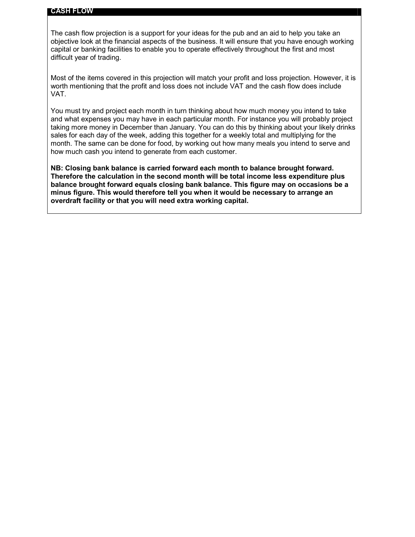### **CASH FLOW**

The cash flow projection is a support for your ideas for the pub and an aid to help you take an objective look at the financial aspects of the business. It will ensure that you have enough working capital or banking facilities to enable you to operate effectively throughout the first and most difficult year of trading.

Most of the items covered in this projection will match your profit and loss projection. However, it is worth mentioning that the profit and loss does not include VAT and the cash flow does include VAT.

You must try and project each month in turn thinking about how much money you intend to take and what expenses you may have in each particular month. For instance you will probably project taking more money in December than January. You can do this by thinking about your likely drinks sales for each day of the week, adding this together for a weekly total and multiplying for the month. The same can be done for food, by working out how many meals you intend to serve and how much cash you intend to generate from each customer.

**NB: Closing bank balance is carried forward each month to balance brought forward. Therefore the calculation in the second month will be total income less expenditure plus balance brought forward equals closing bank balance. This figure may on occasions be a minus figure. This would therefore tell you when it would be necessary to arrange an overdraft facility or that you will need extra working capital.**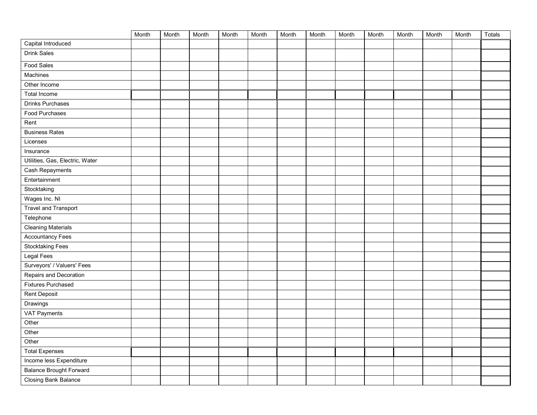|                                 | Month | Month | Month | Month | Month | Month | Month | Month | Month | Month | Month | Month | Totals |
|---------------------------------|-------|-------|-------|-------|-------|-------|-------|-------|-------|-------|-------|-------|--------|
| Capital Introduced              |       |       |       |       |       |       |       |       |       |       |       |       |        |
| <b>Drink Sales</b>              |       |       |       |       |       |       |       |       |       |       |       |       |        |
| <b>Food Sales</b>               |       |       |       |       |       |       |       |       |       |       |       |       |        |
| Machines                        |       |       |       |       |       |       |       |       |       |       |       |       |        |
| Other Income                    |       |       |       |       |       |       |       |       |       |       |       |       |        |
| <b>Total Income</b>             |       |       |       |       |       |       |       |       |       |       |       |       |        |
| Drinks Purchases                |       |       |       |       |       |       |       |       |       |       |       |       |        |
| Food Purchases                  |       |       |       |       |       |       |       |       |       |       |       |       |        |
| Rent                            |       |       |       |       |       |       |       |       |       |       |       |       |        |
| <b>Business Rates</b>           |       |       |       |       |       |       |       |       |       |       |       |       |        |
| Licenses                        |       |       |       |       |       |       |       |       |       |       |       |       |        |
| Insurance                       |       |       |       |       |       |       |       |       |       |       |       |       |        |
| Utilities, Gas, Electric, Water |       |       |       |       |       |       |       |       |       |       |       |       |        |
| Cash Repayments                 |       |       |       |       |       |       |       |       |       |       |       |       |        |
| Entertainment                   |       |       |       |       |       |       |       |       |       |       |       |       |        |
| Stocktaking                     |       |       |       |       |       |       |       |       |       |       |       |       |        |
| Wages Inc. NI                   |       |       |       |       |       |       |       |       |       |       |       |       |        |
| <b>Travel and Transport</b>     |       |       |       |       |       |       |       |       |       |       |       |       |        |
| Telephone                       |       |       |       |       |       |       |       |       |       |       |       |       |        |
| <b>Cleaning Materials</b>       |       |       |       |       |       |       |       |       |       |       |       |       |        |
| <b>Accountancy Fees</b>         |       |       |       |       |       |       |       |       |       |       |       |       |        |
| <b>Stocktaking Fees</b>         |       |       |       |       |       |       |       |       |       |       |       |       |        |
| Legal Fees                      |       |       |       |       |       |       |       |       |       |       |       |       |        |
| Surveyors' / Valuers' Fees      |       |       |       |       |       |       |       |       |       |       |       |       |        |
| Repairs and Decoration          |       |       |       |       |       |       |       |       |       |       |       |       |        |
| <b>Fixtures Purchased</b>       |       |       |       |       |       |       |       |       |       |       |       |       |        |
| <b>Rent Deposit</b>             |       |       |       |       |       |       |       |       |       |       |       |       |        |
| Drawings                        |       |       |       |       |       |       |       |       |       |       |       |       |        |
| <b>VAT Payments</b>             |       |       |       |       |       |       |       |       |       |       |       |       |        |
| Other                           |       |       |       |       |       |       |       |       |       |       |       |       |        |
| Other                           |       |       |       |       |       |       |       |       |       |       |       |       |        |
| Other                           |       |       |       |       |       |       |       |       |       |       |       |       |        |
| <b>Total Expenses</b>           |       |       |       |       |       |       |       |       |       |       |       |       |        |
| Income less Expenditure         |       |       |       |       |       |       |       |       |       |       |       |       |        |
| <b>Balance Brought Forward</b>  |       |       |       |       |       |       |       |       |       |       |       |       |        |
| Closing Bank Balance            |       |       |       |       |       |       |       |       |       |       |       |       |        |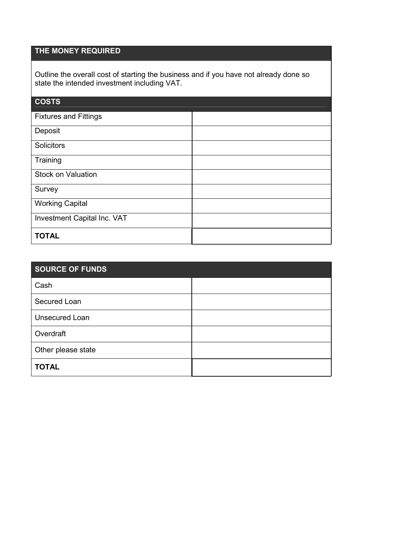# **THE MONEY REQUIRED**

Outline the overall cost of starting the business and if you have not already done so state the intended investment including VAT.

| <b>COSTS</b>                 |  |
|------------------------------|--|
| <b>Fixtures and Fittings</b> |  |
| Deposit                      |  |
| Solicitors                   |  |
| Training                     |  |
| <b>Stock on Valuation</b>    |  |
| Survey                       |  |
| <b>Working Capital</b>       |  |
| Investment Capital Inc. VAT  |  |
| <b>TOTAL</b>                 |  |

| <b>SOURCE OF FUNDS</b> |  |  |  |
|------------------------|--|--|--|
| Cash                   |  |  |  |
| Secured Loan           |  |  |  |
| <b>Unsecured Loan</b>  |  |  |  |
| Overdraft              |  |  |  |
| Other please state     |  |  |  |
| <b>TOTAL</b>           |  |  |  |